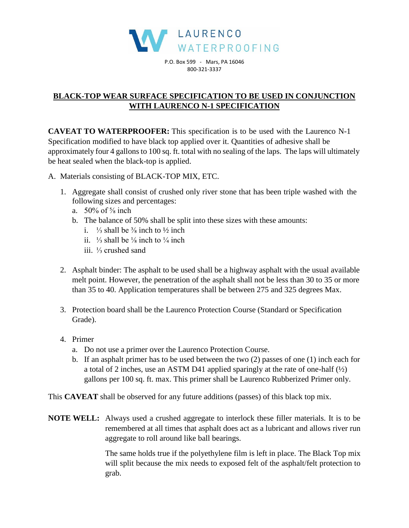

P.O. Box 599 - Mars, PA 16046 800-321-3337

## **BLACK-TOP WEAR SURFACE SPECIFICATION TO BE USED IN CONJUNCTION WITH LAURENCO N-1 SPECIFICATION**

**CAVEAT TO WATERPROOFER:** This specification is to be used with the Laurenco N-1 Specification modified to have black top applied over it. Quantities of adhesive shall be approximately four 4 gallons to 100 sq. ft. total with no sealing of the laps. The laps will ultimately be heat sealed when the black-top is applied.

A. Materials consisting of BLACK-TOP MIX, ETC.

- 1. Aggregate shall consist of crushed only river stone that has been triple washed with the following sizes and percentages:
	- a.  $50\% \text{ of } \frac{5}{8} \text{ inch}$
	- b. The balance of 50% shall be split into these sizes with these amounts:
		- i.  $\frac{1}{3}$  shall be <sup>3</sup>/<sub>8</sub> inch to <sup>1</sup>/<sub>2</sub> inch
		- ii.  $\frac{1}{3}$  shall be  $\frac{1}{8}$  inch to  $\frac{1}{4}$  inch
		- iii. ⅓ crushed sand
- 2. Asphalt binder: The asphalt to be used shall be a highway asphalt with the usual available melt point. However, the penetration of the asphalt shall not be less than 30 to 35 or more than 35 to 40. Application temperatures shall be between 275 and 325 degrees Max.
- 3. Protection board shall be the Laurenco Protection Course (Standard or Specification Grade).
- 4. Primer
	- a. Do not use a primer over the Laurenco Protection Course.
	- b. If an asphalt primer has to be used between the two (2) passes of one (1) inch each for a total of 2 inches, use an ASTM D41 applied sparingly at the rate of one-half (½) gallons per 100 sq. ft. max. This primer shall be Laurenco Rubberized Primer only.

This **CAVEAT** shall be observed for any future additions (passes) of this black top mix.

**NOTE WELL:** Always used a crushed aggregate to interlock these filler materials. It is to be remembered at all times that asphalt does act as a lubricant and allows river run aggregate to roll around like ball bearings.

> The same holds true if the polyethylene film is left in place. The Black Top mix will split because the mix needs to exposed felt of the asphalt/felt protection to grab.